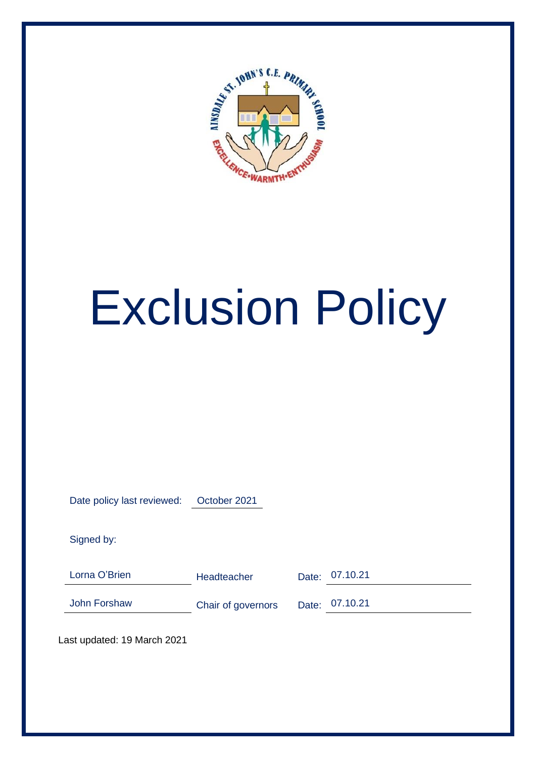

# Exclusion Policy

Date policy last reviewed: October 2021

Signed by:

Lorna O'Brien **Headteacher** Date: 07.10.21

John Forshaw Chair of governors Date: 07.10.21

Last updated: 19 March 2021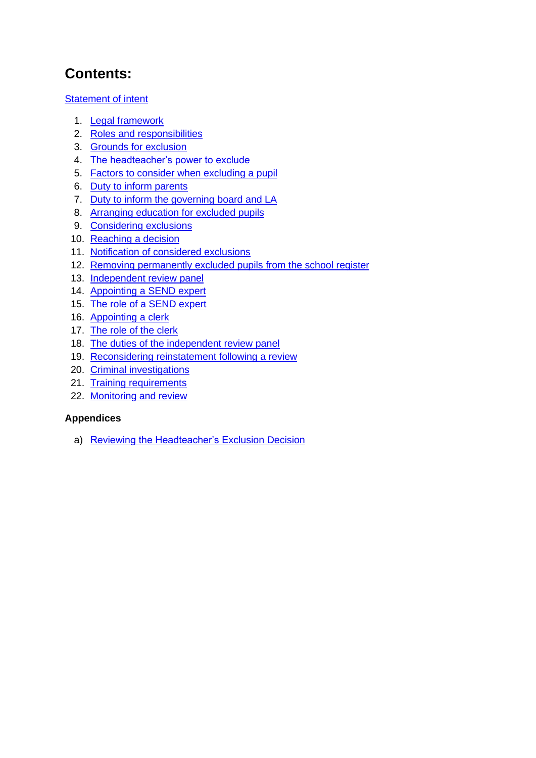## **Contents:**

**Statement of intent** 

- 1. Legal framework
- 2. Roles and responsibilities
- 3. Grounds for exclusion
- 4. The headteacher's power to exclude
- 5. Factors to consider when excluding a pupil
- 6. Duty to inform parents
- 7. Duty to inform the governing board and LA
- 8. Arranging education for excluded pupils
- 9. Considering exclusions
- 10. Reaching a decision
- 11. Notification of considered exclusions
- 12. Removing permanently excluded pupils from the school register
- 13. Independent review panel
- 14. Appointing a SEND expert
- 15. The role of a SEND expert
- 16. Appointing a clerk
- 17. The role of the clerk
- 18. The duties of the independent review panel
- 19. Reconsidering reinstatement following a review
- 20. Criminal investigations
- 21. Training requirements
- 22. Monitoring and review

#### **Appendices**

a) Reviewing the Headteacher's Exclusion Decision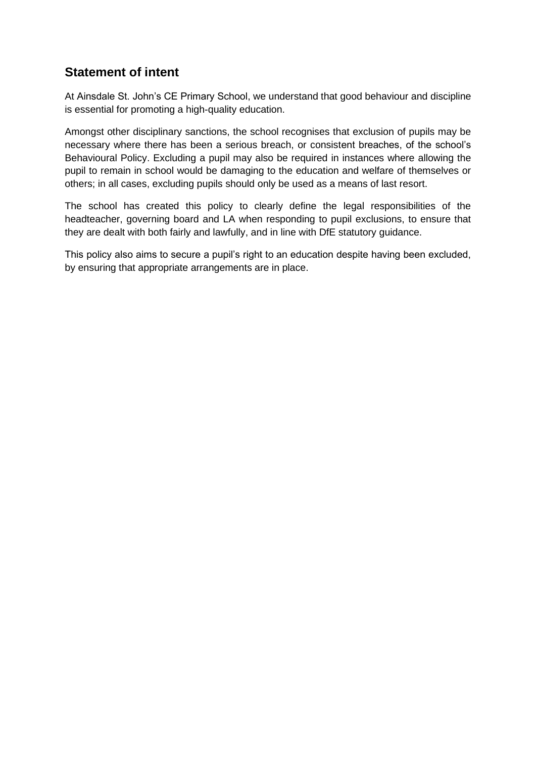## **Statement of intent**

At Ainsdale St. John's CE Primary School, we understand that good behaviour and discipline is essential for promoting a high-quality education.

Amongst other disciplinary sanctions, the school recognises that exclusion of pupils may be necessary where there has been a serious breach, or consistent breaches, of the school's Behavioural Policy. Excluding a pupil may also be required in instances where allowing the pupil to remain in school would be damaging to the education and welfare of themselves or others; in all cases, excluding pupils should only be used as a means of last resort.

The school has created this policy to clearly define the legal responsibilities of the headteacher, governing board and LA when responding to pupil exclusions, to ensure that they are dealt with both fairly and lawfully, and in line with DfE statutory guidance.

This policy also aims to secure a pupil's right to an education despite having been excluded, by ensuring that appropriate arrangements are in place.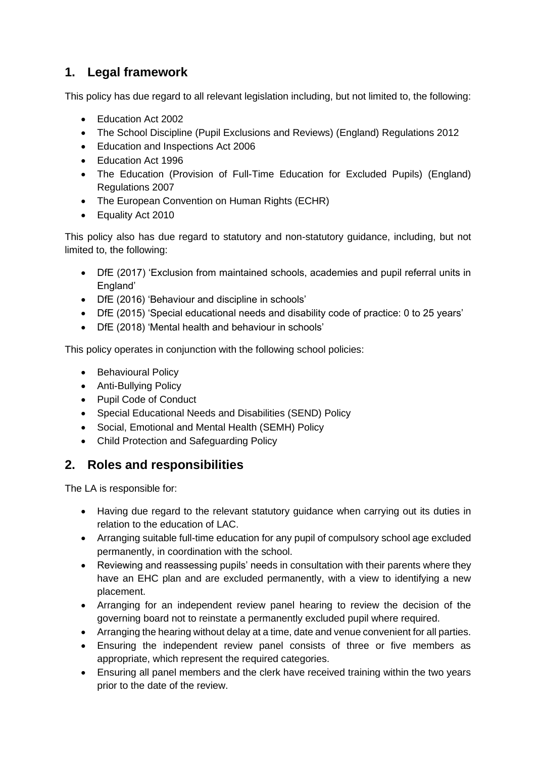## **1. Legal framework**

This policy has due regard to all relevant legislation including, but not limited to, the following:

- Education Act 2002
- The School Discipline (Pupil Exclusions and Reviews) (England) Regulations 2012
- Education and Inspections Act 2006
- Education Act 1996
- The Education (Provision of Full-Time Education for Excluded Pupils) (England) Regulations 2007
- The European Convention on Human Rights (ECHR)
- Equality Act 2010

This policy also has due regard to statutory and non-statutory guidance, including, but not limited to, the following:

- DfE (2017) 'Exclusion from maintained schools, academies and pupil referral units in England'
- DfE (2016) 'Behaviour and discipline in schools'
- DfE (2015) 'Special educational needs and disability code of practice: 0 to 25 years'
- DfE (2018) 'Mental health and behaviour in schools'

This policy operates in conjunction with the following school policies:

- Behavioural Policy
- Anti-Bullying Policy
- Pupil Code of Conduct
- Special Educational Needs and Disabilities (SEND) Policy
- Social, Emotional and Mental Health (SEMH) Policy
- Child Protection and Safeguarding Policy

## **2. Roles and responsibilities**

The LA is responsible for:

- Having due regard to the relevant statutory guidance when carrying out its duties in relation to the education of LAC.
- Arranging suitable full-time education for any pupil of compulsory school age excluded permanently, in coordination with the school.
- Reviewing and reassessing pupils' needs in consultation with their parents where they have an EHC plan and are excluded permanently, with a view to identifying a new placement.
- Arranging for an independent review panel hearing to review the decision of the governing board not to reinstate a permanently excluded pupil where required.
- Arranging the hearing without delay at a time, date and venue convenient for all parties.
- Ensuring the independent review panel consists of three or five members as appropriate, which represent the required categories.
- Ensuring all panel members and the clerk have received training within the two years prior to the date of the review.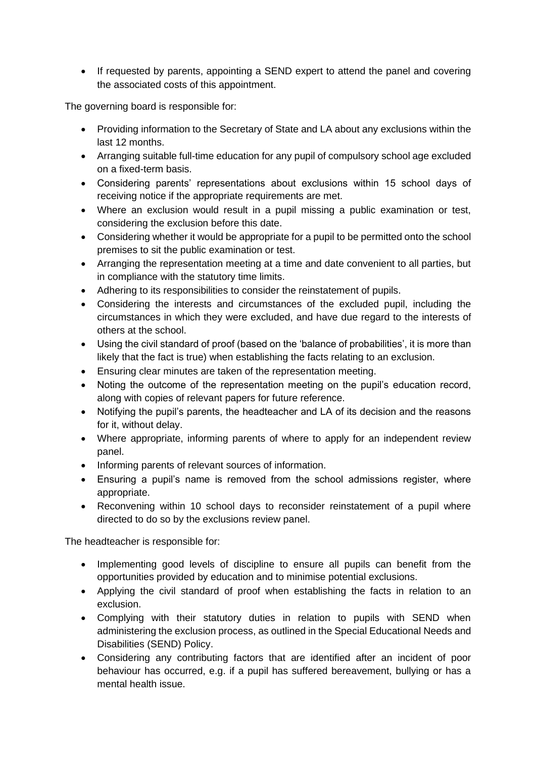• If requested by parents, appointing a SEND expert to attend the panel and covering the associated costs of this appointment.

The governing board is responsible for:

- Providing information to the Secretary of State and LA about any exclusions within the last 12 months.
- Arranging suitable full-time education for any pupil of compulsory school age excluded on a fixed-term basis.
- Considering parents' representations about exclusions within 15 school days of receiving notice if the appropriate requirements are met.
- Where an exclusion would result in a pupil missing a public examination or test, considering the exclusion before this date.
- Considering whether it would be appropriate for a pupil to be permitted onto the school premises to sit the public examination or test.
- Arranging the representation meeting at a time and date convenient to all parties, but in compliance with the statutory time limits.
- Adhering to its responsibilities to consider the reinstatement of pupils.
- Considering the interests and circumstances of the excluded pupil, including the circumstances in which they were excluded, and have due regard to the interests of others at the school.
- Using the civil standard of proof (based on the 'balance of probabilities', it is more than likely that the fact is true) when establishing the facts relating to an exclusion.
- Ensuring clear minutes are taken of the representation meeting.
- Noting the outcome of the representation meeting on the pupil's education record, along with copies of relevant papers for future reference.
- Notifying the pupil's parents, the headteacher and LA of its decision and the reasons for it, without delay.
- Where appropriate, informing parents of where to apply for an independent review panel.
- Informing parents of relevant sources of information.
- Ensuring a pupil's name is removed from the school admissions register, where appropriate.
- Reconvening within 10 school days to reconsider reinstatement of a pupil where directed to do so by the exclusions review panel.

The headteacher is responsible for:

- Implementing good levels of discipline to ensure all pupils can benefit from the opportunities provided by education and to minimise potential exclusions.
- Applying the civil standard of proof when establishing the facts in relation to an exclusion.
- Complying with their statutory duties in relation to pupils with SEND when administering the exclusion process, as outlined in the Special Educational Needs and Disabilities (SEND) Policy.
- Considering any contributing factors that are identified after an incident of poor behaviour has occurred, e.g. if a pupil has suffered bereavement, bullying or has a mental health issue.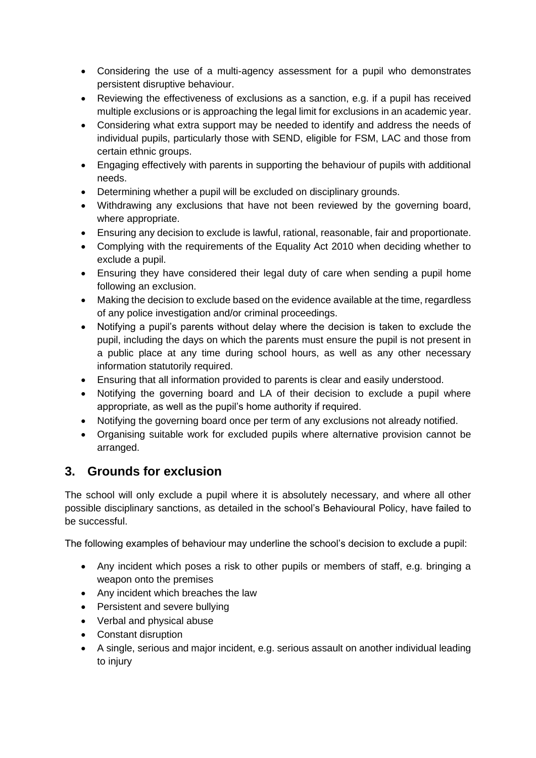- Considering the use of a multi-agency assessment for a pupil who demonstrates persistent disruptive behaviour.
- Reviewing the effectiveness of exclusions as a sanction, e.g. if a pupil has received multiple exclusions or is approaching the legal limit for exclusions in an academic year.
- Considering what extra support may be needed to identify and address the needs of individual pupils, particularly those with SEND, eligible for FSM, LAC and those from certain ethnic groups.
- Engaging effectively with parents in supporting the behaviour of pupils with additional needs.
- Determining whether a pupil will be excluded on disciplinary grounds.
- Withdrawing any exclusions that have not been reviewed by the governing board, where appropriate.
- Ensuring any decision to exclude is lawful, rational, reasonable, fair and proportionate.
- Complying with the requirements of the Equality Act 2010 when deciding whether to exclude a pupil.
- Ensuring they have considered their legal duty of care when sending a pupil home following an exclusion.
- Making the decision to exclude based on the evidence available at the time, regardless of any police investigation and/or criminal proceedings.
- Notifying a pupil's parents without delay where the decision is taken to exclude the pupil, including the days on which the parents must ensure the pupil is not present in a public place at any time during school hours, as well as any other necessary information statutorily required.
- Ensuring that all information provided to parents is clear and easily understood.
- Notifying the governing board and LA of their decision to exclude a pupil where appropriate, as well as the pupil's home authority if required.
- Notifying the governing board once per term of any exclusions not already notified.
- Organising suitable work for excluded pupils where alternative provision cannot be arranged.

## **3. Grounds for exclusion**

The school will only exclude a pupil where it is absolutely necessary, and where all other possible disciplinary sanctions, as detailed in the school's Behavioural Policy, have failed to be successful.

The following examples of behaviour may underline the school's decision to exclude a pupil:

- Any incident which poses a risk to other pupils or members of staff, e.g. bringing a weapon onto the premises
- Any incident which breaches the law
- Persistent and severe bullying
- Verbal and physical abuse
- Constant disruption
- A single, serious and major incident, e.g. serious assault on another individual leading to injury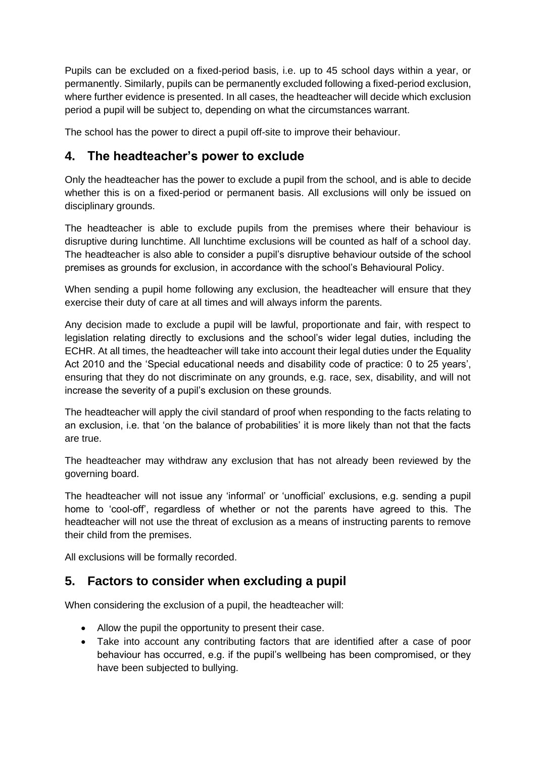Pupils can be excluded on a fixed-period basis, i.e. up to 45 school days within a year, or permanently. Similarly, pupils can be permanently excluded following a fixed-period exclusion, where further evidence is presented. In all cases, the headteacher will decide which exclusion period a pupil will be subject to, depending on what the circumstances warrant.

The school has the power to direct a pupil off-site to improve their behaviour.

#### **4. The headteacher's power to exclude**

Only the headteacher has the power to exclude a pupil from the school, and is able to decide whether this is on a fixed-period or permanent basis. All exclusions will only be issued on disciplinary grounds.

The headteacher is able to exclude pupils from the premises where their behaviour is disruptive during lunchtime. All lunchtime exclusions will be counted as half of a school day. The headteacher is also able to consider a pupil's disruptive behaviour outside of the school premises as grounds for exclusion, in accordance with the school's Behavioural Policy.

When sending a pupil home following any exclusion, the headteacher will ensure that they exercise their duty of care at all times and will always inform the parents.

Any decision made to exclude a pupil will be lawful, proportionate and fair, with respect to legislation relating directly to exclusions and the school's wider legal duties, including the ECHR. At all times, the headteacher will take into account their legal duties under the Equality Act 2010 and the 'Special educational needs and disability code of practice: 0 to 25 years', ensuring that they do not discriminate on any grounds, e.g. race, sex, disability, and will not increase the severity of a pupil's exclusion on these grounds.

The headteacher will apply the civil standard of proof when responding to the facts relating to an exclusion, i.e. that 'on the balance of probabilities' it is more likely than not that the facts are true.

The headteacher may withdraw any exclusion that has not already been reviewed by the governing board.

The headteacher will not issue any 'informal' or 'unofficial' exclusions, e.g. sending a pupil home to 'cool-off', regardless of whether or not the parents have agreed to this. The headteacher will not use the threat of exclusion as a means of instructing parents to remove their child from the premises.

All exclusions will be formally recorded.

## **5. Factors to consider when excluding a pupil**

When considering the exclusion of a pupil, the headteacher will:

- Allow the pupil the opportunity to present their case.
- Take into account any contributing factors that are identified after a case of poor behaviour has occurred, e.g. if the pupil's wellbeing has been compromised, or they have been subjected to bullying.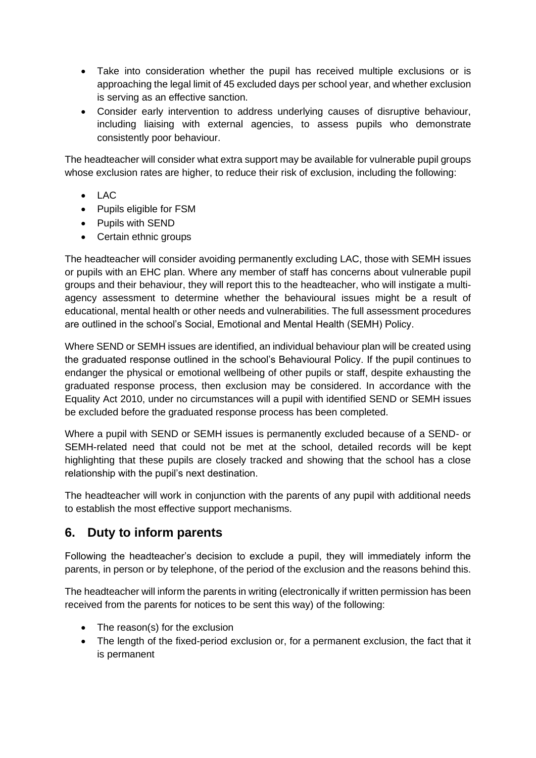- Take into consideration whether the pupil has received multiple exclusions or is approaching the legal limit of 45 excluded days per school year, and whether exclusion is serving as an effective sanction.
- Consider early intervention to address underlying causes of disruptive behaviour, including liaising with external agencies, to assess pupils who demonstrate consistently poor behaviour.

The headteacher will consider what extra support may be available for vulnerable pupil groups whose exclusion rates are higher, to reduce their risk of exclusion, including the following:

- LAC
- Pupils eligible for FSM
- Pupils with SEND
- Certain ethnic groups

The headteacher will consider avoiding permanently excluding LAC, those with SEMH issues or pupils with an EHC plan. Where any member of staff has concerns about vulnerable pupil groups and their behaviour, they will report this to the headteacher, who will instigate a multiagency assessment to determine whether the behavioural issues might be a result of educational, mental health or other needs and vulnerabilities. The full assessment procedures are outlined in the school's Social, Emotional and Mental Health (SEMH) Policy.

Where SEND or SEMH issues are identified, an individual behaviour plan will be created using the graduated response outlined in the school's Behavioural Policy. If the pupil continues to endanger the physical or emotional wellbeing of other pupils or staff, despite exhausting the graduated response process, then exclusion may be considered. In accordance with the Equality Act 2010, under no circumstances will a pupil with identified SEND or SEMH issues be excluded before the graduated response process has been completed.

Where a pupil with SEND or SEMH issues is permanently excluded because of a SEND- or SEMH-related need that could not be met at the school, detailed records will be kept highlighting that these pupils are closely tracked and showing that the school has a close relationship with the pupil's next destination.

The headteacher will work in conjunction with the parents of any pupil with additional needs to establish the most effective support mechanisms.

## **6. Duty to inform parents**

Following the headteacher's decision to exclude a pupil, they will immediately inform the parents, in person or by telephone, of the period of the exclusion and the reasons behind this.

The headteacher will inform the parents in writing (electronically if written permission has been received from the parents for notices to be sent this way) of the following:

- The reason(s) for the exclusion
- The length of the fixed-period exclusion or, for a permanent exclusion, the fact that it is permanent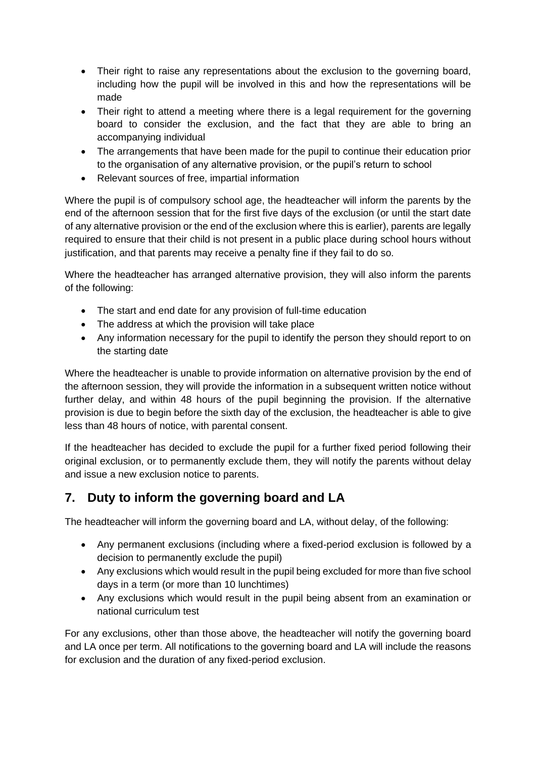- Their right to raise any representations about the exclusion to the governing board, including how the pupil will be involved in this and how the representations will be made
- Their right to attend a meeting where there is a legal requirement for the governing board to consider the exclusion, and the fact that they are able to bring an accompanying individual
- The arrangements that have been made for the pupil to continue their education prior to the organisation of any alternative provision, or the pupil's return to school
- Relevant sources of free, impartial information

Where the pupil is of compulsory school age, the headteacher will inform the parents by the end of the afternoon session that for the first five days of the exclusion (or until the start date of any alternative provision or the end of the exclusion where this is earlier), parents are legally required to ensure that their child is not present in a public place during school hours without justification, and that parents may receive a penalty fine if they fail to do so.

Where the headteacher has arranged alternative provision, they will also inform the parents of the following:

- The start and end date for any provision of full-time education
- The address at which the provision will take place
- Any information necessary for the pupil to identify the person they should report to on the starting date

Where the headteacher is unable to provide information on alternative provision by the end of the afternoon session, they will provide the information in a subsequent written notice without further delay, and within 48 hours of the pupil beginning the provision. If the alternative provision is due to begin before the sixth day of the exclusion, the headteacher is able to give less than 48 hours of notice, with parental consent.

If the headteacher has decided to exclude the pupil for a further fixed period following their original exclusion, or to permanently exclude them, they will notify the parents without delay and issue a new exclusion notice to parents.

## **7. Duty to inform the governing board and LA**

The headteacher will inform the governing board and LA, without delay, of the following:

- Any permanent exclusions (including where a fixed-period exclusion is followed by a decision to permanently exclude the pupil)
- Any exclusions which would result in the pupil being excluded for more than five school days in a term (or more than 10 lunchtimes)
- Any exclusions which would result in the pupil being absent from an examination or national curriculum test

For any exclusions, other than those above, the headteacher will notify the governing board and LA once per term. All notifications to the governing board and LA will include the reasons for exclusion and the duration of any fixed-period exclusion.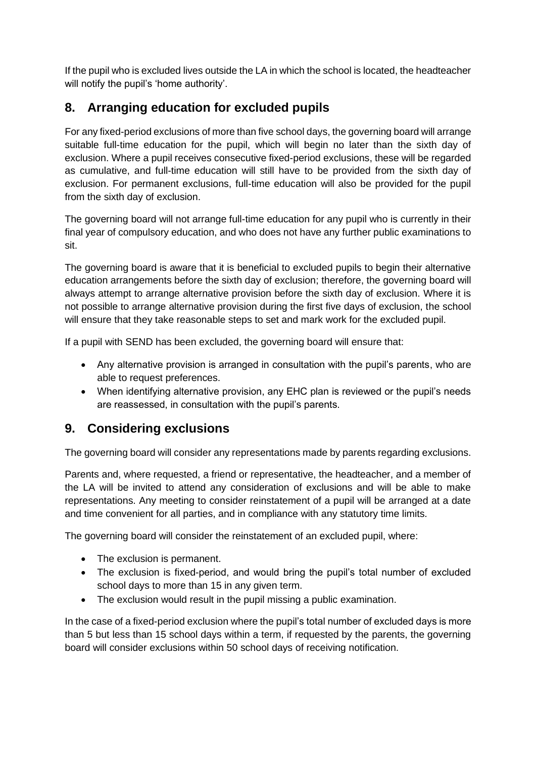If the pupil who is excluded lives outside the LA in which the school is located, the headteacher will notify the pupil's 'home authority'.

## **8. Arranging education for excluded pupils**

For any fixed-period exclusions of more than five school days, the governing board will arrange suitable full-time education for the pupil, which will begin no later than the sixth day of exclusion. Where a pupil receives consecutive fixed-period exclusions, these will be regarded as cumulative, and full-time education will still have to be provided from the sixth day of exclusion. For permanent exclusions, full-time education will also be provided for the pupil from the sixth day of exclusion.

The governing board will not arrange full-time education for any pupil who is currently in their final year of compulsory education, and who does not have any further public examinations to sit.

The governing board is aware that it is beneficial to excluded pupils to begin their alternative education arrangements before the sixth day of exclusion; therefore, the governing board will always attempt to arrange alternative provision before the sixth day of exclusion. Where it is not possible to arrange alternative provision during the first five days of exclusion, the school will ensure that they take reasonable steps to set and mark work for the excluded pupil.

If a pupil with SEND has been excluded, the governing board will ensure that:

- Any alternative provision is arranged in consultation with the pupil's parents, who are able to request preferences.
- When identifying alternative provision, any EHC plan is reviewed or the pupil's needs are reassessed, in consultation with the pupil's parents.

## **9. Considering exclusions**

The governing board will consider any representations made by parents regarding exclusions.

Parents and, where requested, a friend or representative, the headteacher, and a member of the LA will be invited to attend any consideration of exclusions and will be able to make representations. Any meeting to consider reinstatement of a pupil will be arranged at a date and time convenient for all parties, and in compliance with any statutory time limits.

The governing board will consider the reinstatement of an excluded pupil, where:

- The exclusion is permanent.
- The exclusion is fixed-period, and would bring the pupil's total number of excluded school days to more than 15 in any given term.
- The exclusion would result in the pupil missing a public examination.

In the case of a fixed-period exclusion where the pupil's total number of excluded days is more than 5 but less than 15 school days within a term, if requested by the parents, the governing board will consider exclusions within 50 school days of receiving notification.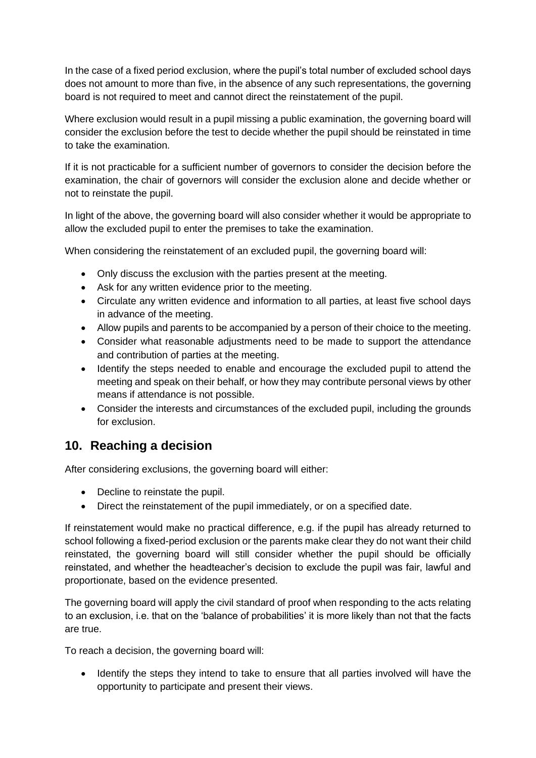In the case of a fixed period exclusion, where the pupil's total number of excluded school days does not amount to more than five, in the absence of any such representations, the governing board is not required to meet and cannot direct the reinstatement of the pupil.

Where exclusion would result in a pupil missing a public examination, the governing board will consider the exclusion before the test to decide whether the pupil should be reinstated in time to take the examination.

If it is not practicable for a sufficient number of governors to consider the decision before the examination, the chair of governors will consider the exclusion alone and decide whether or not to reinstate the pupil.

In light of the above, the governing board will also consider whether it would be appropriate to allow the excluded pupil to enter the premises to take the examination.

When considering the reinstatement of an excluded pupil, the governing board will:

- Only discuss the exclusion with the parties present at the meeting.
- Ask for any written evidence prior to the meeting.
- Circulate any written evidence and information to all parties, at least five school days in advance of the meeting.
- Allow pupils and parents to be accompanied by a person of their choice to the meeting.
- Consider what reasonable adjustments need to be made to support the attendance and contribution of parties at the meeting.
- Identify the steps needed to enable and encourage the excluded pupil to attend the meeting and speak on their behalf, or how they may contribute personal views by other means if attendance is not possible.
- Consider the interests and circumstances of the excluded pupil, including the grounds for exclusion.

## **10. Reaching a decision**

After considering exclusions, the governing board will either:

- Decline to reinstate the pupil.
- Direct the reinstatement of the pupil immediately, or on a specified date.

If reinstatement would make no practical difference, e.g. if the pupil has already returned to school following a fixed-period exclusion or the parents make clear they do not want their child reinstated, the governing board will still consider whether the pupil should be officially reinstated, and whether the headteacher's decision to exclude the pupil was fair, lawful and proportionate, based on the evidence presented.

The governing board will apply the civil standard of proof when responding to the acts relating to an exclusion, i.e. that on the 'balance of probabilities' it is more likely than not that the facts are true.

To reach a decision, the governing board will:

• Identify the steps they intend to take to ensure that all parties involved will have the opportunity to participate and present their views.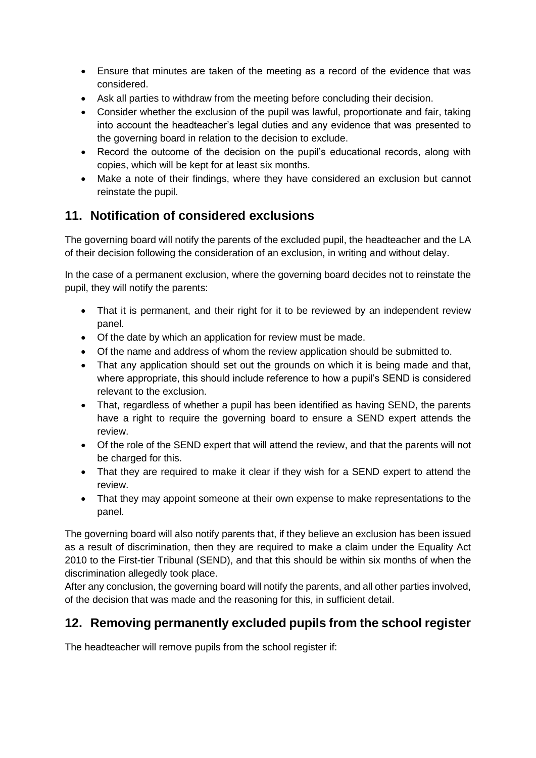- Ensure that minutes are taken of the meeting as a record of the evidence that was considered.
- Ask all parties to withdraw from the meeting before concluding their decision.
- Consider whether the exclusion of the pupil was lawful, proportionate and fair, taking into account the headteacher's legal duties and any evidence that was presented to the governing board in relation to the decision to exclude.
- Record the outcome of the decision on the pupil's educational records, along with copies, which will be kept for at least six months.
- Make a note of their findings, where they have considered an exclusion but cannot reinstate the pupil.

## **11. Notification of considered exclusions**

The governing board will notify the parents of the excluded pupil, the headteacher and the LA of their decision following the consideration of an exclusion, in writing and without delay.

In the case of a permanent exclusion, where the governing board decides not to reinstate the pupil, they will notify the parents:

- That it is permanent, and their right for it to be reviewed by an independent review panel.
- Of the date by which an application for review must be made.
- Of the name and address of whom the review application should be submitted to.
- That any application should set out the grounds on which it is being made and that, where appropriate, this should include reference to how a pupil's SEND is considered relevant to the exclusion.
- That, regardless of whether a pupil has been identified as having SEND, the parents have a right to require the governing board to ensure a SEND expert attends the review.
- Of the role of the SEND expert that will attend the review, and that the parents will not be charged for this.
- That they are required to make it clear if they wish for a SEND expert to attend the review.
- That they may appoint someone at their own expense to make representations to the panel.

The governing board will also notify parents that, if they believe an exclusion has been issued as a result of discrimination, then they are required to make a claim under the Equality Act 2010 to the First-tier Tribunal (SEND), and that this should be within six months of when the discrimination allegedly took place.

After any conclusion, the governing board will notify the parents, and all other parties involved, of the decision that was made and the reasoning for this, in sufficient detail.

## **12. Removing permanently excluded pupils from the school register**

The headteacher will remove pupils from the school register if: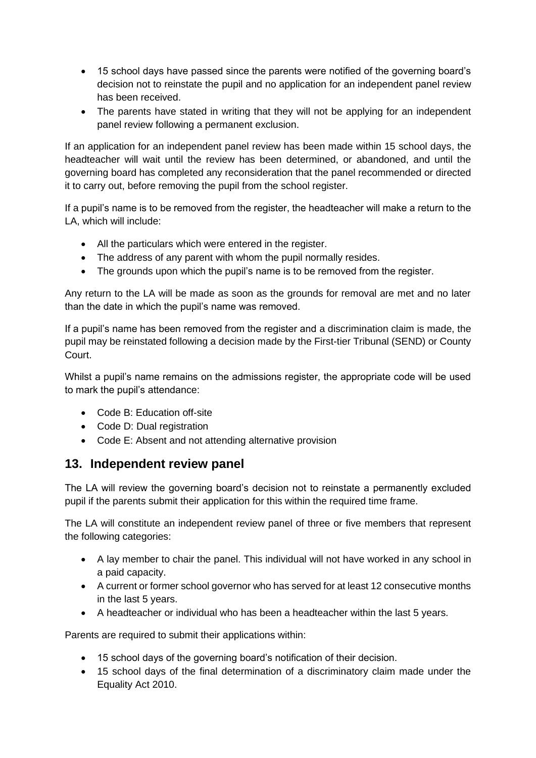- 15 school days have passed since the parents were notified of the governing board's decision not to reinstate the pupil and no application for an independent panel review has been received.
- The parents have stated in writing that they will not be applying for an independent panel review following a permanent exclusion.

If an application for an independent panel review has been made within 15 school days, the headteacher will wait until the review has been determined, or abandoned, and until the governing board has completed any reconsideration that the panel recommended or directed it to carry out, before removing the pupil from the school register.

If a pupil's name is to be removed from the register, the headteacher will make a return to the LA, which will include:

- All the particulars which were entered in the register.
- The address of any parent with whom the pupil normally resides.
- The grounds upon which the pupil's name is to be removed from the register.

Any return to the LA will be made as soon as the grounds for removal are met and no later than the date in which the pupil's name was removed.

If a pupil's name has been removed from the register and a discrimination claim is made, the pupil may be reinstated following a decision made by the First-tier Tribunal (SEND) or County Court.

Whilst a pupil's name remains on the admissions register, the appropriate code will be used to mark the pupil's attendance:

- Code B: Education off-site
- Code D: Dual registration
- Code E: Absent and not attending alternative provision

#### **13. Independent review panel**

The LA will review the governing board's decision not to reinstate a permanently excluded pupil if the parents submit their application for this within the required time frame.

The LA will constitute an independent review panel of three or five members that represent the following categories:

- A lay member to chair the panel. This individual will not have worked in any school in a paid capacity.
- A current or former school governor who has served for at least 12 consecutive months in the last 5 years.
- A headteacher or individual who has been a headteacher within the last 5 years.

Parents are required to submit their applications within:

- 15 school days of the governing board's notification of their decision.
- 15 school days of the final determination of a discriminatory claim made under the Equality Act 2010.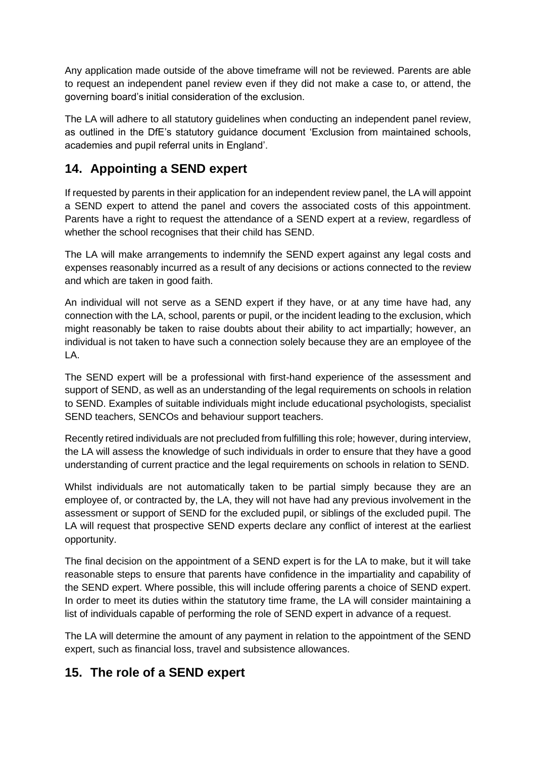Any application made outside of the above timeframe will not be reviewed. Parents are able to request an independent panel review even if they did not make a case to, or attend, the governing board's initial consideration of the exclusion.

The LA will adhere to all statutory guidelines when conducting an independent panel review, as outlined in the DfE's statutory guidance document 'Exclusion from maintained schools, academies and pupil referral units in England'.

## **14. Appointing a SEND expert**

If requested by parents in their application for an independent review panel, the LA will appoint a SEND expert to attend the panel and covers the associated costs of this appointment. Parents have a right to request the attendance of a SEND expert at a review, regardless of whether the school recognises that their child has SEND.

The LA will make arrangements to indemnify the SEND expert against any legal costs and expenses reasonably incurred as a result of any decisions or actions connected to the review and which are taken in good faith.

An individual will not serve as a SEND expert if they have, or at any time have had, any connection with the LA, school, parents or pupil, or the incident leading to the exclusion, which might reasonably be taken to raise doubts about their ability to act impartially; however, an individual is not taken to have such a connection solely because they are an employee of the LA.

The SEND expert will be a professional with first-hand experience of the assessment and support of SEND, as well as an understanding of the legal requirements on schools in relation to SEND. Examples of suitable individuals might include educational psychologists, specialist SEND teachers, SENCOs and behaviour support teachers.

Recently retired individuals are not precluded from fulfilling this role; however, during interview, the LA will assess the knowledge of such individuals in order to ensure that they have a good understanding of current practice and the legal requirements on schools in relation to SEND.

Whilst individuals are not automatically taken to be partial simply because they are an employee of, or contracted by, the LA, they will not have had any previous involvement in the assessment or support of SEND for the excluded pupil, or siblings of the excluded pupil. The LA will request that prospective SEND experts declare any conflict of interest at the earliest opportunity.

The final decision on the appointment of a SEND expert is for the LA to make, but it will take reasonable steps to ensure that parents have confidence in the impartiality and capability of the SEND expert. Where possible, this will include offering parents a choice of SEND expert. In order to meet its duties within the statutory time frame, the LA will consider maintaining a list of individuals capable of performing the role of SEND expert in advance of a request.

The LA will determine the amount of any payment in relation to the appointment of the SEND expert, such as financial loss, travel and subsistence allowances.

## **15. The role of a SEND expert**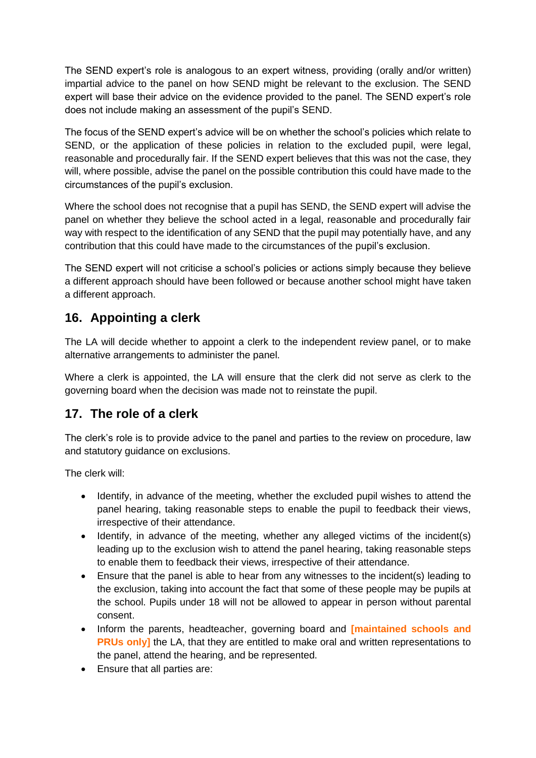The SEND expert's role is analogous to an expert witness, providing (orally and/or written) impartial advice to the panel on how SEND might be relevant to the exclusion. The SEND expert will base their advice on the evidence provided to the panel. The SEND expert's role does not include making an assessment of the pupil's SEND.

The focus of the SEND expert's advice will be on whether the school's policies which relate to SEND, or the application of these policies in relation to the excluded pupil, were legal, reasonable and procedurally fair. If the SEND expert believes that this was not the case, they will, where possible, advise the panel on the possible contribution this could have made to the circumstances of the pupil's exclusion.

Where the school does not recognise that a pupil has SEND, the SEND expert will advise the panel on whether they believe the school acted in a legal, reasonable and procedurally fair way with respect to the identification of any SEND that the pupil may potentially have, and any contribution that this could have made to the circumstances of the pupil's exclusion.

The SEND expert will not criticise a school's policies or actions simply because they believe a different approach should have been followed or because another school might have taken a different approach.

## **16. Appointing a clerk**

The LA will decide whether to appoint a clerk to the independent review panel, or to make alternative arrangements to administer the panel.

Where a clerk is appointed, the LA will ensure that the clerk did not serve as clerk to the governing board when the decision was made not to reinstate the pupil.

## **17. The role of a clerk**

The clerk's role is to provide advice to the panel and parties to the review on procedure, law and statutory guidance on exclusions.

The clerk will:

- Identify, in advance of the meeting, whether the excluded pupil wishes to attend the panel hearing, taking reasonable steps to enable the pupil to feedback their views, irrespective of their attendance.
- Identify, in advance of the meeting, whether any alleged victims of the incident(s) leading up to the exclusion wish to attend the panel hearing, taking reasonable steps to enable them to feedback their views, irrespective of their attendance.
- Ensure that the panel is able to hear from any witnesses to the incident(s) leading to the exclusion, taking into account the fact that some of these people may be pupils at the school. Pupils under 18 will not be allowed to appear in person without parental consent.
- Inform the parents, headteacher, governing board and **[maintained schools and PRUs only**] the LA, that they are entitled to make oral and written representations to the panel, attend the hearing, and be represented.
- Ensure that all parties are: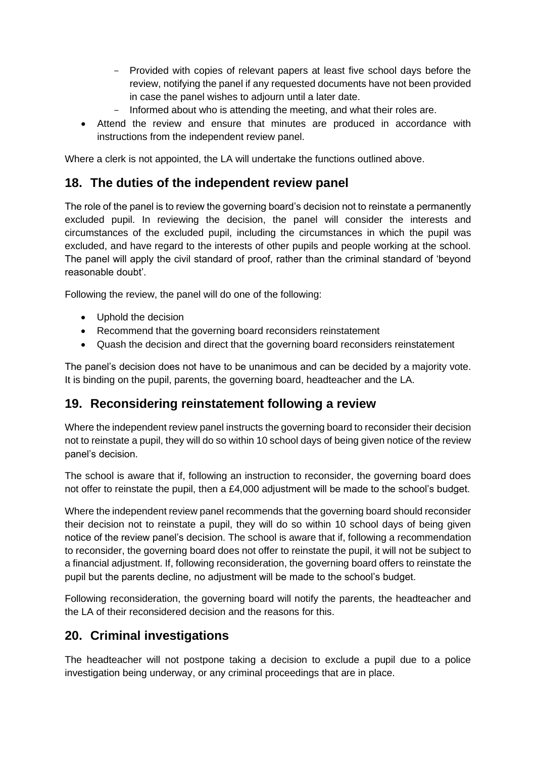- Provided with copies of relevant papers at least five school days before the review, notifying the panel if any requested documents have not been provided in case the panel wishes to adjourn until a later date.
- Informed about who is attending the meeting, and what their roles are.
- Attend the review and ensure that minutes are produced in accordance with instructions from the independent review panel.

Where a clerk is not appointed, the LA will undertake the functions outlined above.

#### **18. The duties of the independent review panel**

The role of the panel is to review the governing board's decision not to reinstate a permanently excluded pupil. In reviewing the decision, the panel will consider the interests and circumstances of the excluded pupil, including the circumstances in which the pupil was excluded, and have regard to the interests of other pupils and people working at the school. The panel will apply the civil standard of proof, rather than the criminal standard of 'beyond reasonable doubt'.

Following the review, the panel will do one of the following:

- Uphold the decision
- Recommend that the governing board reconsiders reinstatement
- Quash the decision and direct that the governing board reconsiders reinstatement

The panel's decision does not have to be unanimous and can be decided by a majority vote. It is binding on the pupil, parents, the governing board, headteacher and the LA.

#### **19. Reconsidering reinstatement following a review**

Where the independent review panel instructs the governing board to reconsider their decision not to reinstate a pupil, they will do so within 10 school days of being given notice of the review panel's decision.

The school is aware that if, following an instruction to reconsider, the governing board does not offer to reinstate the pupil, then a £4,000 adjustment will be made to the school's budget.

Where the independent review panel recommends that the governing board should reconsider their decision not to reinstate a pupil, they will do so within 10 school days of being given notice of the review panel's decision. The school is aware that if, following a recommendation to reconsider, the governing board does not offer to reinstate the pupil, it will not be subject to a financial adjustment. If, following reconsideration, the governing board offers to reinstate the pupil but the parents decline, no adjustment will be made to the school's budget.

Following reconsideration, the governing board will notify the parents, the headteacher and the LA of their reconsidered decision and the reasons for this.

## **20. Criminal investigations**

The headteacher will not postpone taking a decision to exclude a pupil due to a police investigation being underway, or any criminal proceedings that are in place.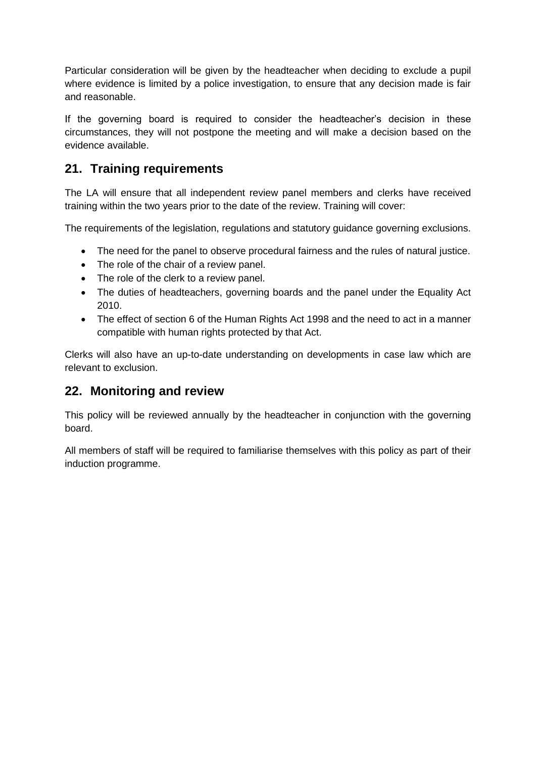Particular consideration will be given by the headteacher when deciding to exclude a pupil where evidence is limited by a police investigation, to ensure that any decision made is fair and reasonable.

If the governing board is required to consider the headteacher's decision in these circumstances, they will not postpone the meeting and will make a decision based on the evidence available.

## **21. Training requirements**

The LA will ensure that all independent review panel members and clerks have received training within the two years prior to the date of the review. Training will cover:

The requirements of the legislation, regulations and statutory guidance governing exclusions.

- The need for the panel to observe procedural fairness and the rules of natural justice.
- The role of the chair of a review panel.
- The role of the clerk to a review panel.
- The duties of headteachers, governing boards and the panel under the Equality Act 2010.
- The effect of section 6 of the Human Rights Act 1998 and the need to act in a manner compatible with human rights protected by that Act.

Clerks will also have an up-to-date understanding on developments in case law which are relevant to exclusion.

#### **22. Monitoring and review**

This policy will be reviewed annually by the headteacher in conjunction with the governing board.

All members of staff will be required to familiarise themselves with this policy as part of their induction programme.